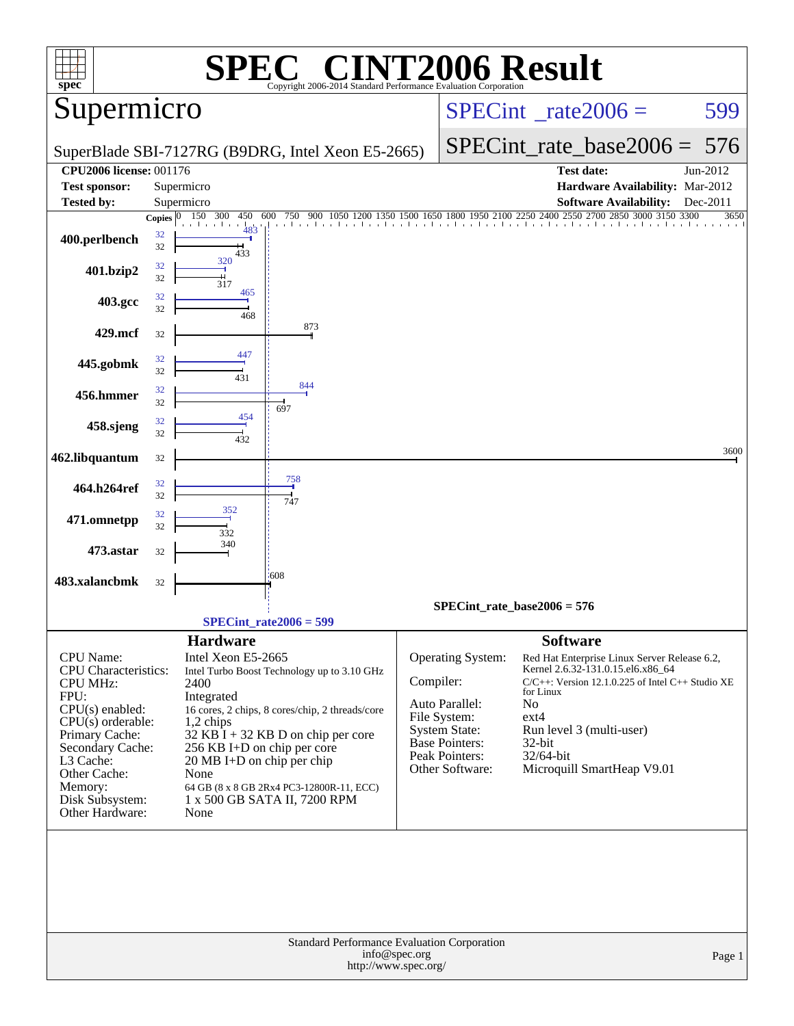|                                                 |          |                                                                     | $\bigcap$                                                                               |                                          | <b>NT2006 Result</b>                          |                                |                                                                                   |          |
|-------------------------------------------------|----------|---------------------------------------------------------------------|-----------------------------------------------------------------------------------------|------------------------------------------|-----------------------------------------------|--------------------------------|-----------------------------------------------------------------------------------|----------|
| $spec^*$                                        |          |                                                                     | Copyright 2006-2014 Standard Performance Evaluation Corporation                         |                                          |                                               |                                |                                                                                   |          |
| Supermicro                                      |          |                                                                     |                                                                                         | $SPECint^{\circ}$ <sub>_rate2006</sub> = |                                               |                                | 599                                                                               |          |
|                                                 |          |                                                                     | SuperBlade SBI-7127RG (B9DRG, Intel Xeon E5-2665)                                       |                                          |                                               | SPECint rate base $2006 = 576$ |                                                                                   |          |
| <b>CPU2006 license: 001176</b>                  |          |                                                                     |                                                                                         |                                          |                                               |                                | <b>Test date:</b>                                                                 | Jun-2012 |
| <b>Test sponsor:</b>                            |          | Supermicro                                                          |                                                                                         |                                          |                                               |                                | Hardware Availability: Mar-2012                                                   |          |
| <b>Tested by:</b>                               |          | Supermicro                                                          |                                                                                         |                                          |                                               |                                | <b>Software Availability:</b>                                                     | Dec-2011 |
|                                                 |          | Copies $\boxed{0 - 150 - 300}$<br>450 600<br>483                    | 750 900 1050 1200 1350 1500 1650 1800 1950 2100 2250 2400 2550 2700 2850 3000 3150 3300 |                                          |                                               |                                |                                                                                   | 3650     |
| 400.perlbench                                   | 32<br>32 | 433                                                                 |                                                                                         |                                          |                                               |                                |                                                                                   |          |
| 401.bzip2                                       | 32<br>32 | 320<br>317                                                          |                                                                                         |                                          |                                               |                                |                                                                                   |          |
| 403.gcc                                         | 32<br>32 | 465<br>468                                                          |                                                                                         |                                          |                                               |                                |                                                                                   |          |
| 429.mcf                                         | 32       |                                                                     | 873                                                                                     |                                          |                                               |                                |                                                                                   |          |
| 445.gobmk                                       | 32<br>32 | 447<br>431                                                          |                                                                                         |                                          |                                               |                                |                                                                                   |          |
| 456.hmmer                                       | 32<br>32 |                                                                     | 844                                                                                     |                                          |                                               |                                |                                                                                   |          |
| 458.sjeng                                       | 32<br>32 | 454<br>432                                                          | 697                                                                                     |                                          |                                               |                                |                                                                                   |          |
| 462.libquantum                                  | 32       |                                                                     |                                                                                         |                                          |                                               |                                |                                                                                   | 3600     |
| 464.h264ref                                     | 32<br>32 |                                                                     | 758<br>747                                                                              |                                          |                                               |                                |                                                                                   |          |
| 471.omnetpp                                     | 32<br>32 | 352<br>332                                                          |                                                                                         |                                          |                                               |                                |                                                                                   |          |
| 473.astar                                       | 32       | 340                                                                 |                                                                                         |                                          |                                               |                                |                                                                                   |          |
| 483.xalancbmk                                   | 32       |                                                                     | $-608$                                                                                  |                                          |                                               |                                |                                                                                   |          |
|                                                 |          |                                                                     |                                                                                         |                                          | $SPECint_rate_base2006 = 576$                 |                                |                                                                                   |          |
|                                                 |          |                                                                     | $SPECint_rate2006 = 599$                                                                |                                          |                                               |                                |                                                                                   |          |
| <b>CPU</b> Name:<br><b>CPU</b> Characteristics: |          | <b>Hardware</b><br>Intel Xeon E5-2665                               | Intel Turbo Boost Technology up to 3.10 GHz                                             |                                          | Operating System:                             | <b>Software</b>                | Red Hat Enterprise Linux Server Release 6.2,<br>Kernel 2.6.32-131.0.15.el6.x86_64 |          |
| <b>CPU MHz:</b>                                 |          | 2400                                                                |                                                                                         | Compiler:                                |                                               | for Linux                      | $C/C++$ : Version 12.1.0.225 of Intel $C++$ Studio XE                             |          |
| FPU:<br>$CPU(s)$ enabled:                       |          | Integrated                                                          | 16 cores, 2 chips, 8 cores/chip, 2 threads/core                                         |                                          | Auto Parallel:                                | No                             |                                                                                   |          |
| $CPU(s)$ orderable:                             |          | $1,2$ chips                                                         |                                                                                         |                                          | File System:                                  | $ext{4}$                       |                                                                                   |          |
| Primary Cache:                                  |          |                                                                     | $32$ KB $\bar{1}$ + 32 KB D on chip per core                                            |                                          | <b>System State:</b><br><b>Base Pointers:</b> | 32-bit                         | Run level 3 (multi-user)                                                          |          |
| Secondary Cache:<br>L3 Cache:                   |          | 256 KB I+D on chip per core<br>$20 \text{ MB I+D}$ on chip per chip |                                                                                         |                                          | Peak Pointers:                                | 32/64-bit                      |                                                                                   |          |
| Other Cache:                                    |          | None                                                                |                                                                                         |                                          | Other Software:                               |                                | Microquill SmartHeap V9.01                                                        |          |
| Memory:                                         |          |                                                                     | 64 GB (8 x 8 GB 2Rx4 PC3-12800R-11, ECC)                                                |                                          |                                               |                                |                                                                                   |          |
| Disk Subsystem:<br>Other Hardware:              |          | None                                                                | 1 x 500 GB SATA II, 7200 RPM                                                            |                                          |                                               |                                |                                                                                   |          |
|                                                 |          |                                                                     |                                                                                         |                                          |                                               |                                |                                                                                   |          |
|                                                 |          |                                                                     | Standard Performance Evaluation Corporation<br>http://www.spec.org/                     | info@spec.org                            |                                               |                                |                                                                                   | Page 1   |
|                                                 |          |                                                                     |                                                                                         |                                          |                                               |                                |                                                                                   |          |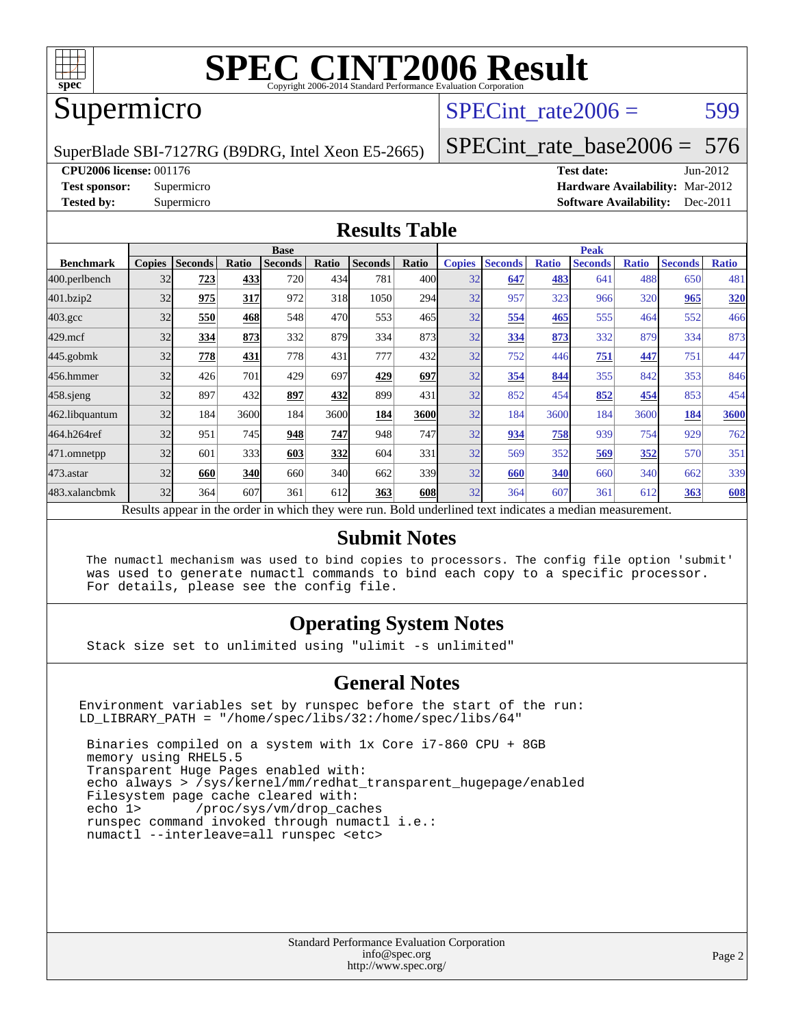

# **[SPEC CINT2006 Result](http://www.spec.org/auto/cpu2006/Docs/result-fields.html#SPECCINT2006Result)**

## Supermicro

## SPECint rate $2006 = 599$

SuperBlade SBI-7127RG (B9DRG, Intel Xeon E5-2665)

[SPECint\\_rate\\_base2006 =](http://www.spec.org/auto/cpu2006/Docs/result-fields.html#SPECintratebase2006) 576

**[CPU2006 license:](http://www.spec.org/auto/cpu2006/Docs/result-fields.html#CPU2006license)** 001176 **[Test date:](http://www.spec.org/auto/cpu2006/Docs/result-fields.html#Testdate)** Jun-2012

**[Test sponsor:](http://www.spec.org/auto/cpu2006/Docs/result-fields.html#Testsponsor)** Supermicro **[Hardware Availability:](http://www.spec.org/auto/cpu2006/Docs/result-fields.html#HardwareAvailability)** Mar-2012 **[Tested by:](http://www.spec.org/auto/cpu2006/Docs/result-fields.html#Testedby)** Supermicro **Supermicro [Software Availability:](http://www.spec.org/auto/cpu2006/Docs/result-fields.html#SoftwareAvailability)** Dec-2011

#### **[Results Table](http://www.spec.org/auto/cpu2006/Docs/result-fields.html#ResultsTable)**

|                                                                                                          | <b>Base</b>   |                |       |                |       |                |              | <b>Peak</b>   |                |              |                |              |                |              |
|----------------------------------------------------------------------------------------------------------|---------------|----------------|-------|----------------|-------|----------------|--------------|---------------|----------------|--------------|----------------|--------------|----------------|--------------|
| <b>Benchmark</b>                                                                                         | <b>Copies</b> | <b>Seconds</b> | Ratio | <b>Seconds</b> | Ratio | <b>Seconds</b> | Ratio        | <b>Copies</b> | <b>Seconds</b> | <b>Ratio</b> | <b>Seconds</b> | <b>Ratio</b> | <b>Seconds</b> | <b>Ratio</b> |
| 400.perlbench                                                                                            | 32            | 723            | 433   | 720            | 434   | 781            | 400 <b>l</b> | 32            | 647            | 483          | 641            | 488          | 650            | 481          |
| 401.bzip2                                                                                                | 32            | 975            | 317   | 972            | 318   | 1050           | 294          | 32            | 957            | 323          | 966            | 320          | 965            | <b>320</b>   |
| $403.\mathrm{gcc}$                                                                                       | 32            | 550            | 468   | 548            | 470   | 553            | 465          | 32            | 554            | 465          | 555            | 464          | 552            | 466          |
| $429$ .mcf                                                                                               | 32            | 334            | 873   | 332            | 879   | 334            | 873          | 32            | 334            | 873          | 332            | 879          | 334            | 873          |
| $445$ .gobmk                                                                                             | 32            | 778            | 431   | 778            | 431   | 777            | 432l         | 32            | 752            | 446          | 751            | 447          | 751            | 447          |
| 456.hmmer                                                                                                | 32            | 426            | 701   | 429            | 697   | 429            | 697          | 32            | 354            | 844          | 355            | 842          | 353            | 846          |
| 458 sjeng                                                                                                | 32            | 897            | 432   | 897            | 432   | 899            | 431          | 32            | 852            | 454          | 852            | 454          | 853            | 454          |
| 462.libquantum                                                                                           | 32            | 184            | 3600  | 184            | 3600  | 184            | 3600         | 32            | 184            | 3600         | 184            | 3600         | 184            | 3600         |
| 464.h264ref                                                                                              | 32            | 951            | 745   | 948            | 747   | 948            | 747          | 32            | 934            | 758          | 939            | 754          | 929            | 762          |
| 471.omnetpp                                                                                              | 32            | 601            | 333   | 603            | 332   | 604            | 331          | 32            | 569            | 352          | 569            | 352          | 570            | 351          |
| $473.$ astar                                                                                             | 32            | 660            | 340   | 660            | 340   | 662            | 339l         | 32            | 660            | 340          | 660            | 340          | 662            | 339          |
| 483.xalancbmk                                                                                            | 32            | 364            | 607   | 361            | 612   | 363            | <b>608</b>   | 32            | 364            | 607          | 361            | 612          | 363            | 608          |
| Results appear in the order in which they were run. Bold underlined text indicates a median measurement. |               |                |       |                |       |                |              |               |                |              |                |              |                |              |

#### **[Submit Notes](http://www.spec.org/auto/cpu2006/Docs/result-fields.html#SubmitNotes)**

 The numactl mechanism was used to bind copies to processors. The config file option 'submit' was used to generate numactl commands to bind each copy to a specific processor. For details, please see the config file.

#### **[Operating System Notes](http://www.spec.org/auto/cpu2006/Docs/result-fields.html#OperatingSystemNotes)**

Stack size set to unlimited using "ulimit -s unlimited"

#### **[General Notes](http://www.spec.org/auto/cpu2006/Docs/result-fields.html#GeneralNotes)**

Environment variables set by runspec before the start of the run: LD\_LIBRARY\_PATH = "/home/spec/libs/32:/home/spec/libs/64"

 Binaries compiled on a system with 1x Core i7-860 CPU + 8GB memory using RHEL5.5 Transparent Huge Pages enabled with: echo always > /sys/kernel/mm/redhat\_transparent\_hugepage/enabled Filesystem page cache cleared with: echo 1> /proc/sys/vm/drop\_caches runspec command invoked through numactl i.e.: numactl --interleave=all runspec <etc>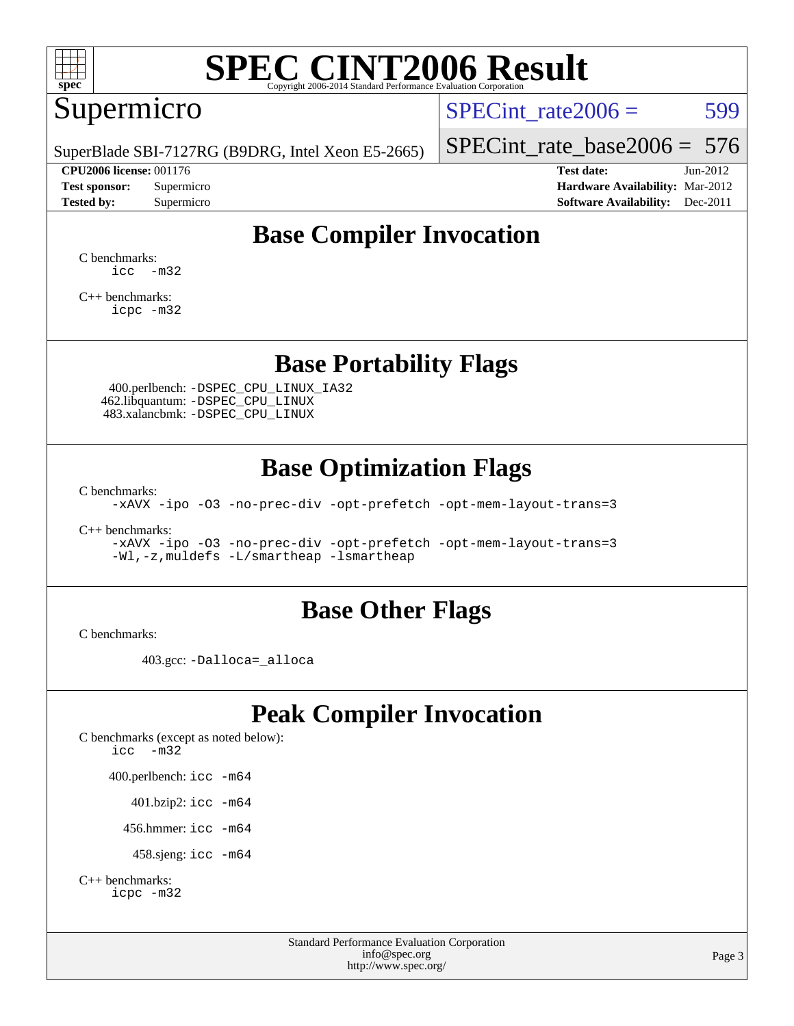

# **[SPEC CINT2006 Result](http://www.spec.org/auto/cpu2006/Docs/result-fields.html#SPECCINT2006Result)**

## Supermicro

SPECint rate $2006 = 599$ 

SuperBlade SBI-7127RG (B9DRG, Intel Xeon E5-2665)

**[CPU2006 license:](http://www.spec.org/auto/cpu2006/Docs/result-fields.html#CPU2006license)** 001176 **[Test date:](http://www.spec.org/auto/cpu2006/Docs/result-fields.html#Testdate)** Jun-2012

[SPECint\\_rate\\_base2006 =](http://www.spec.org/auto/cpu2006/Docs/result-fields.html#SPECintratebase2006) 576

**[Test sponsor:](http://www.spec.org/auto/cpu2006/Docs/result-fields.html#Testsponsor)** Supermicro **[Hardware Availability:](http://www.spec.org/auto/cpu2006/Docs/result-fields.html#HardwareAvailability)** Mar-2012 **[Tested by:](http://www.spec.org/auto/cpu2006/Docs/result-fields.html#Testedby)** Supermicro **Supermicro [Software Availability:](http://www.spec.org/auto/cpu2006/Docs/result-fields.html#SoftwareAvailability)** Dec-2011

## **[Base Compiler Invocation](http://www.spec.org/auto/cpu2006/Docs/result-fields.html#BaseCompilerInvocation)**

[C benchmarks](http://www.spec.org/auto/cpu2006/Docs/result-fields.html#Cbenchmarks):  $\text{icc}$   $-\text{m32}$ 

[C++ benchmarks:](http://www.spec.org/auto/cpu2006/Docs/result-fields.html#CXXbenchmarks) [icpc -m32](http://www.spec.org/cpu2006/results/res2012q3/cpu2006-20120626-23191.flags.html#user_CXXbase_intel_icpc_4e5a5ef1a53fd332b3c49e69c3330699)

#### **[Base Portability Flags](http://www.spec.org/auto/cpu2006/Docs/result-fields.html#BasePortabilityFlags)**

 400.perlbench: [-DSPEC\\_CPU\\_LINUX\\_IA32](http://www.spec.org/cpu2006/results/res2012q3/cpu2006-20120626-23191.flags.html#b400.perlbench_baseCPORTABILITY_DSPEC_CPU_LINUX_IA32) 462.libquantum: [-DSPEC\\_CPU\\_LINUX](http://www.spec.org/cpu2006/results/res2012q3/cpu2006-20120626-23191.flags.html#b462.libquantum_baseCPORTABILITY_DSPEC_CPU_LINUX) 483.xalancbmk: [-DSPEC\\_CPU\\_LINUX](http://www.spec.org/cpu2006/results/res2012q3/cpu2006-20120626-23191.flags.html#b483.xalancbmk_baseCXXPORTABILITY_DSPEC_CPU_LINUX)

#### **[Base Optimization Flags](http://www.spec.org/auto/cpu2006/Docs/result-fields.html#BaseOptimizationFlags)**

[C benchmarks](http://www.spec.org/auto/cpu2006/Docs/result-fields.html#Cbenchmarks):

[-xAVX](http://www.spec.org/cpu2006/results/res2012q3/cpu2006-20120626-23191.flags.html#user_CCbase_f-xAVX) [-ipo](http://www.spec.org/cpu2006/results/res2012q3/cpu2006-20120626-23191.flags.html#user_CCbase_f-ipo) [-O3](http://www.spec.org/cpu2006/results/res2012q3/cpu2006-20120626-23191.flags.html#user_CCbase_f-O3) [-no-prec-div](http://www.spec.org/cpu2006/results/res2012q3/cpu2006-20120626-23191.flags.html#user_CCbase_f-no-prec-div) [-opt-prefetch](http://www.spec.org/cpu2006/results/res2012q3/cpu2006-20120626-23191.flags.html#user_CCbase_f-opt-prefetch) [-opt-mem-layout-trans=3](http://www.spec.org/cpu2006/results/res2012q3/cpu2006-20120626-23191.flags.html#user_CCbase_f-opt-mem-layout-trans_a7b82ad4bd7abf52556d4961a2ae94d5)

[C++ benchmarks:](http://www.spec.org/auto/cpu2006/Docs/result-fields.html#CXXbenchmarks)

[-xAVX](http://www.spec.org/cpu2006/results/res2012q3/cpu2006-20120626-23191.flags.html#user_CXXbase_f-xAVX) [-ipo](http://www.spec.org/cpu2006/results/res2012q3/cpu2006-20120626-23191.flags.html#user_CXXbase_f-ipo) [-O3](http://www.spec.org/cpu2006/results/res2012q3/cpu2006-20120626-23191.flags.html#user_CXXbase_f-O3) [-no-prec-div](http://www.spec.org/cpu2006/results/res2012q3/cpu2006-20120626-23191.flags.html#user_CXXbase_f-no-prec-div) [-opt-prefetch](http://www.spec.org/cpu2006/results/res2012q3/cpu2006-20120626-23191.flags.html#user_CXXbase_f-opt-prefetch) [-opt-mem-layout-trans=3](http://www.spec.org/cpu2006/results/res2012q3/cpu2006-20120626-23191.flags.html#user_CXXbase_f-opt-mem-layout-trans_a7b82ad4bd7abf52556d4961a2ae94d5) [-Wl,-z,muldefs](http://www.spec.org/cpu2006/results/res2012q3/cpu2006-20120626-23191.flags.html#user_CXXbase_link_force_multiple1_74079c344b956b9658436fd1b6dd3a8a) [-L/smartheap -lsmartheap](http://www.spec.org/cpu2006/results/res2012q3/cpu2006-20120626-23191.flags.html#user_CXXbase_SmartHeap_7c9e394a5779e1a7fec7c221e123830c)

#### **[Base Other Flags](http://www.spec.org/auto/cpu2006/Docs/result-fields.html#BaseOtherFlags)**

[C benchmarks](http://www.spec.org/auto/cpu2006/Docs/result-fields.html#Cbenchmarks):

403.gcc: [-Dalloca=\\_alloca](http://www.spec.org/cpu2006/results/res2012q3/cpu2006-20120626-23191.flags.html#b403.gcc_baseEXTRA_CFLAGS_Dalloca_be3056838c12de2578596ca5467af7f3)

## **[Peak Compiler Invocation](http://www.spec.org/auto/cpu2006/Docs/result-fields.html#PeakCompilerInvocation)**

[C benchmarks \(except as noted below\)](http://www.spec.org/auto/cpu2006/Docs/result-fields.html#Cbenchmarksexceptasnotedbelow): [icc -m32](http://www.spec.org/cpu2006/results/res2012q3/cpu2006-20120626-23191.flags.html#user_CCpeak_intel_icc_5ff4a39e364c98233615fdd38438c6f2) 400.perlbench: [icc -m64](http://www.spec.org/cpu2006/results/res2012q3/cpu2006-20120626-23191.flags.html#user_peakCCLD400_perlbench_intel_icc_64bit_bda6cc9af1fdbb0edc3795bac97ada53) 401.bzip2: [icc -m64](http://www.spec.org/cpu2006/results/res2012q3/cpu2006-20120626-23191.flags.html#user_peakCCLD401_bzip2_intel_icc_64bit_bda6cc9af1fdbb0edc3795bac97ada53)

456.hmmer: [icc -m64](http://www.spec.org/cpu2006/results/res2012q3/cpu2006-20120626-23191.flags.html#user_peakCCLD456_hmmer_intel_icc_64bit_bda6cc9af1fdbb0edc3795bac97ada53)

458.sjeng: [icc -m64](http://www.spec.org/cpu2006/results/res2012q3/cpu2006-20120626-23191.flags.html#user_peakCCLD458_sjeng_intel_icc_64bit_bda6cc9af1fdbb0edc3795bac97ada53)

```
C++ benchmarks: 
    icpc -m32
```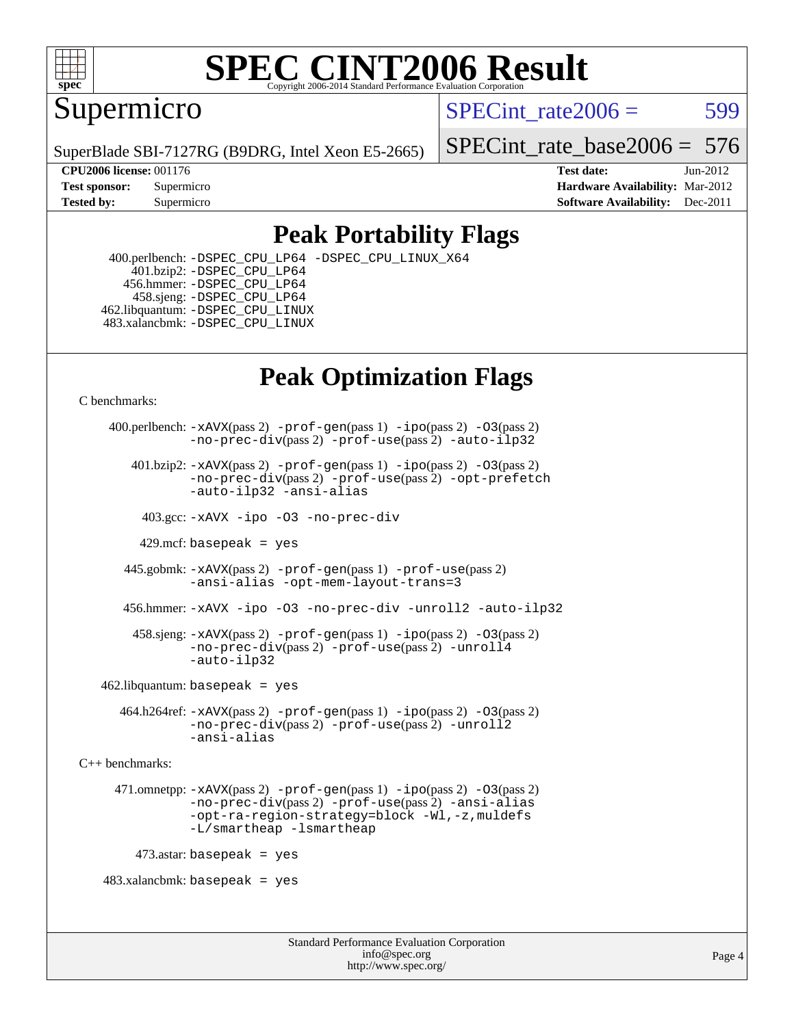

#### **[SPEC CINT2006 Result](http://www.spec.org/auto/cpu2006/Docs/result-fields.html#SPECCINT2006Result)** Copyright 2006-2014 Standard Performance Evaluation C

Supermicro

SPECint rate $2006 = 599$ 

SuperBlade SBI-7127RG (B9DRG, Intel Xeon E5-2665)

[SPECint\\_rate\\_base2006 =](http://www.spec.org/auto/cpu2006/Docs/result-fields.html#SPECintratebase2006) 576

**[CPU2006 license:](http://www.spec.org/auto/cpu2006/Docs/result-fields.html#CPU2006license)** 001176 **[Test date:](http://www.spec.org/auto/cpu2006/Docs/result-fields.html#Testdate)** Jun-2012 **[Test sponsor:](http://www.spec.org/auto/cpu2006/Docs/result-fields.html#Testsponsor)** Supermicro **[Hardware Availability:](http://www.spec.org/auto/cpu2006/Docs/result-fields.html#HardwareAvailability)** Mar-2012 **[Tested by:](http://www.spec.org/auto/cpu2006/Docs/result-fields.html#Testedby)** Supermicro **Supermicro [Software Availability:](http://www.spec.org/auto/cpu2006/Docs/result-fields.html#SoftwareAvailability)** Dec-2011

## **[Peak Portability Flags](http://www.spec.org/auto/cpu2006/Docs/result-fields.html#PeakPortabilityFlags)**

 400.perlbench: [-DSPEC\\_CPU\\_LP64](http://www.spec.org/cpu2006/results/res2012q3/cpu2006-20120626-23191.flags.html#b400.perlbench_peakCPORTABILITY_DSPEC_CPU_LP64) [-DSPEC\\_CPU\\_LINUX\\_X64](http://www.spec.org/cpu2006/results/res2012q3/cpu2006-20120626-23191.flags.html#b400.perlbench_peakCPORTABILITY_DSPEC_CPU_LINUX_X64) 401.bzip2: [-DSPEC\\_CPU\\_LP64](http://www.spec.org/cpu2006/results/res2012q3/cpu2006-20120626-23191.flags.html#suite_peakCPORTABILITY401_bzip2_DSPEC_CPU_LP64) 456.hmmer: [-DSPEC\\_CPU\\_LP64](http://www.spec.org/cpu2006/results/res2012q3/cpu2006-20120626-23191.flags.html#suite_peakCPORTABILITY456_hmmer_DSPEC_CPU_LP64) 458.sjeng: [-DSPEC\\_CPU\\_LP64](http://www.spec.org/cpu2006/results/res2012q3/cpu2006-20120626-23191.flags.html#suite_peakCPORTABILITY458_sjeng_DSPEC_CPU_LP64) 462.libquantum: [-DSPEC\\_CPU\\_LINUX](http://www.spec.org/cpu2006/results/res2012q3/cpu2006-20120626-23191.flags.html#b462.libquantum_peakCPORTABILITY_DSPEC_CPU_LINUX) 483.xalancbmk: [-DSPEC\\_CPU\\_LINUX](http://www.spec.org/cpu2006/results/res2012q3/cpu2006-20120626-23191.flags.html#b483.xalancbmk_peakCXXPORTABILITY_DSPEC_CPU_LINUX)

## **[Peak Optimization Flags](http://www.spec.org/auto/cpu2006/Docs/result-fields.html#PeakOptimizationFlags)**

[C benchmarks](http://www.spec.org/auto/cpu2006/Docs/result-fields.html#Cbenchmarks):

```
 400.perlbench: -xAVX(pass 2) -prof-gen(pass 1) -ipo(pass 2) -O3(pass 2)
                -no-prec-div(pass 2) -prof-use(pass 2) -auto-ilp32
        401.bzip2: -xAVX(pass 2) -prof-gen(pass 1) -ipo(pass 2) -O3(pass 2)
                -no-prec-div(pass 2) -prof-use(pass 2) -opt-prefetch
                -auto-ilp32 -ansi-alias
          403.gcc: -xAVX -ipo -O3 -no-prec-div
         429.mcf: basepeak = yes
       445.gobmk: -xAVX(pass 2) -prof-gen(pass 1) -prof-use(pass 2)
                -ansi-alias -opt-mem-layout-trans=3
       456.hmmer: -xAVX -ipo -O3 -no-prec-div -unroll2 -auto-ilp32
         458.sjeng: -xAVX(pass 2) -prof-gen(pass 1) -ipo(pass 2) -O3(pass 2)
                -no-prec-div(pass 2) -prof-use(pass 2) -unroll4
                -auto-ilp32
   462.libquantum: basepeak = yes
       464.h264ref: -xAVX(pass 2) -prof-gen(pass 1) -ipo(pass 2) -O3(pass 2)
                -no-prec-div(pass 2) -prof-use(pass 2) -unroll2
                -ansi-alias
C++ benchmarks: 
      471.omnetpp: -xAVX(pass 2) -prof-gen(pass 1) -ipo(pass 2) -O3(pass 2)
                -no-prec-div(pass 2) -prof-use(pass 2) -ansi-alias
                -opt-ra-region-strategy=block -Wl,-z,muldefs
                -L/smartheap -lsmartheap
        473.astar: basepeak = yes
   483.xalanchmk: basepeak = yes
```